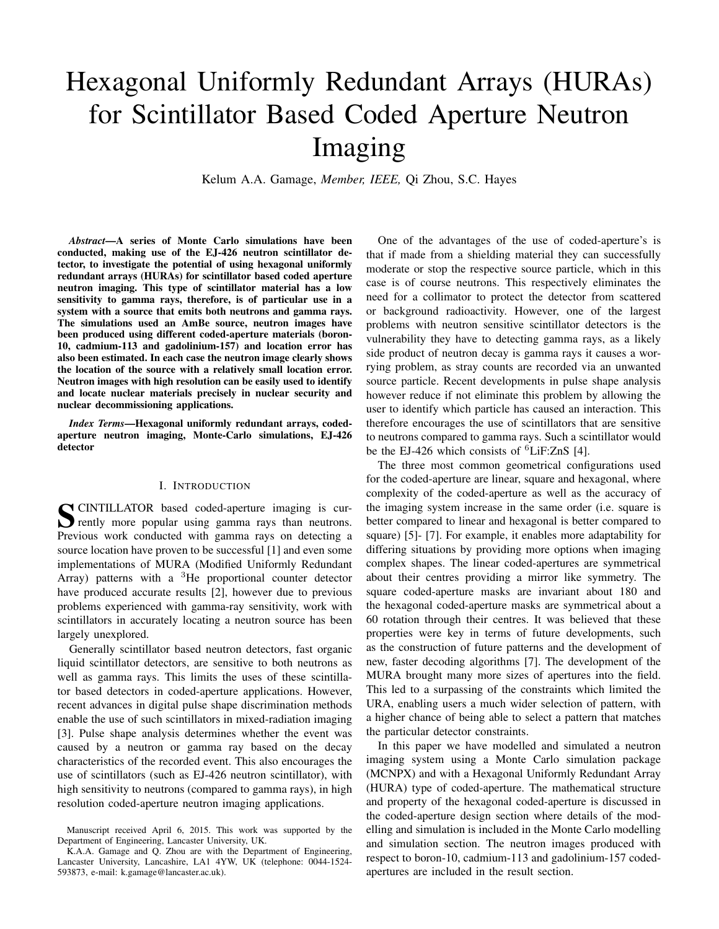# Hexagonal Uniformly Redundant Arrays (HURAs) for Scintillator Based Coded Aperture Neutron Imaging

Kelum A.A. Gamage, *Member, IEEE,* Qi Zhou, S.C. Hayes

*Abstract*—A series of Monte Carlo simulations have been conducted, making use of the EJ-426 neutron scintillator detector, to investigate the potential of using hexagonal uniformly redundant arrays (HURAs) for scintillator based coded aperture neutron imaging. This type of scintillator material has a low sensitivity to gamma rays, therefore, is of particular use in a system with a source that emits both neutrons and gamma rays. The simulations used an AmBe source, neutron images have been produced using different coded-aperture materials (boron-10, cadmium-113 and gadolinium-157) and location error has also been estimated. In each case the neutron image clearly shows the location of the source with a relatively small location error. Neutron images with high resolution can be easily used to identify and locate nuclear materials precisely in nuclear security and nuclear decommissioning applications.

*Index Terms*—Hexagonal uniformly redundant arrays, codedaperture neutron imaging, Monte-Carlo simulations, EJ-426 detector

### I. INTRODUCTION

SCINTILLATOR based coded-aperture imaging is currently more popular using gamma rays than neutrons. CINTILLATOR based coded-aperture imaging is cur-Previous work conducted with gamma rays on detecting a source location have proven to be successful [1] and even some implementations of MURA (Modified Uniformly Redundant Array) patterns with a  ${}^{3}$ He proportional counter detector have produced accurate results [2], however due to previous problems experienced with gamma-ray sensitivity, work with scintillators in accurately locating a neutron source has been largely unexplored.

Generally scintillator based neutron detectors, fast organic liquid scintillator detectors, are sensitive to both neutrons as well as gamma rays. This limits the uses of these scintillator based detectors in coded-aperture applications. However, recent advances in digital pulse shape discrimination methods enable the use of such scintillators in mixed-radiation imaging [3]. Pulse shape analysis determines whether the event was caused by a neutron or gamma ray based on the decay characteristics of the recorded event. This also encourages the use of scintillators (such as EJ-426 neutron scintillator), with high sensitivity to neutrons (compared to gamma rays), in high resolution coded-aperture neutron imaging applications.

One of the advantages of the use of coded-aperture's is that if made from a shielding material they can successfully moderate or stop the respective source particle, which in this case is of course neutrons. This respectively eliminates the need for a collimator to protect the detector from scattered or background radioactivity. However, one of the largest problems with neutron sensitive scintillator detectors is the vulnerability they have to detecting gamma rays, as a likely side product of neutron decay is gamma rays it causes a worrying problem, as stray counts are recorded via an unwanted source particle. Recent developments in pulse shape analysis however reduce if not eliminate this problem by allowing the user to identify which particle has caused an interaction. This therefore encourages the use of scintillators that are sensitive to neutrons compared to gamma rays. Such a scintillator would be the EJ-426 which consists of <sup>6</sup>LiF:ZnS [4].

The three most common geometrical configurations used for the coded-aperture are linear, square and hexagonal, where complexity of the coded-aperture as well as the accuracy of the imaging system increase in the same order (i.e. square is better compared to linear and hexagonal is better compared to square) [5]- [7]. For example, it enables more adaptability for differing situations by providing more options when imaging complex shapes. The linear coded-apertures are symmetrical about their centres providing a mirror like symmetry. The square coded-aperture masks are invariant about 180 and the hexagonal coded-aperture masks are symmetrical about a 60 rotation through their centres. It was believed that these properties were key in terms of future developments, such as the construction of future patterns and the development of new, faster decoding algorithms [7]. The development of the MURA brought many more sizes of apertures into the field. This led to a surpassing of the constraints which limited the URA, enabling users a much wider selection of pattern, with a higher chance of being able to select a pattern that matches the particular detector constraints.

In this paper we have modelled and simulated a neutron imaging system using a Monte Carlo simulation package (MCNPX) and with a Hexagonal Uniformly Redundant Array (HURA) type of coded-aperture. The mathematical structure and property of the hexagonal coded-aperture is discussed in the coded-aperture design section where details of the modelling and simulation is included in the Monte Carlo modelling and simulation section. The neutron images produced with respect to boron-10, cadmium-113 and gadolinium-157 codedapertures are included in the result section.

Manuscript received April 6, 2015. This work was supported by the Department of Engineering, Lancaster University, UK.

K.A.A. Gamage and Q. Zhou are with the Department of Engineering, Lancaster University, Lancashire, LA1 4YW, UK (telephone: 0044-1524- 593873, e-mail: k.gamage@lancaster.ac.uk).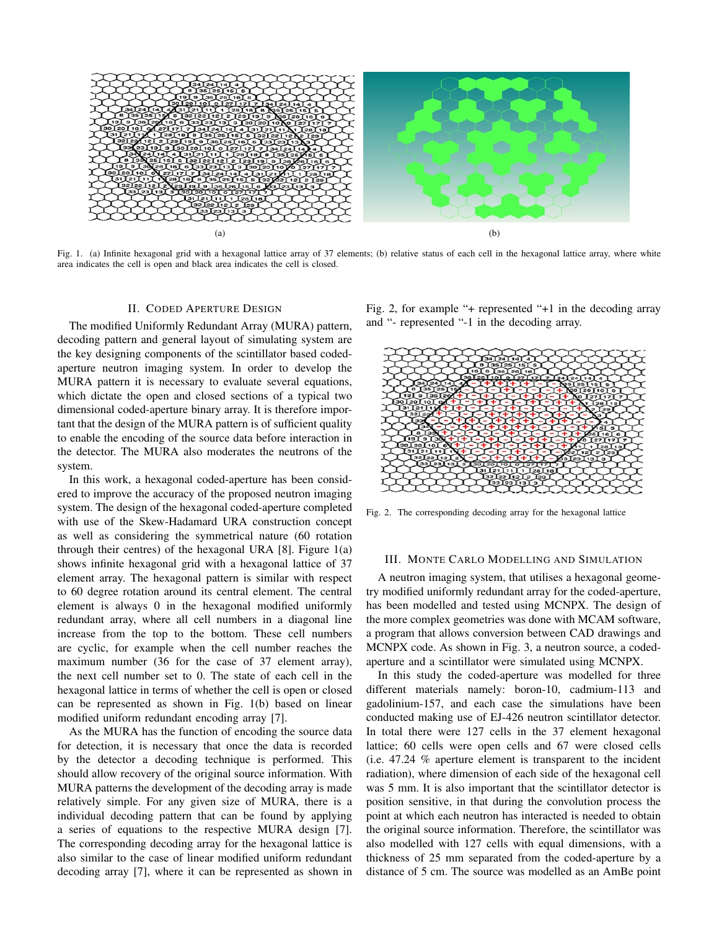

Fig. 1. (a) Infinite hexagonal grid with a hexagonal lattice array of 37 elements; (b) relative status of each cell in the hexagonal lattice array, where white area indicates the cell is open and black area indicates the cell is closed.

### II. CODED APERTURE DESIGN

The modified Uniformly Redundant Array (MURA) pattern, decoding pattern and general layout of simulating system are the key designing components of the scintillator based codedaperture neutron imaging system. In order to develop the MURA pattern it is necessary to evaluate several equations, which dictate the open and closed sections of a typical two dimensional coded-aperture binary array. It is therefore important that the design of the MURA pattern is of sufficient quality to enable the encoding of the source data before interaction in the detector. The MURA also moderates the neutrons of the system.

In this work, a hexagonal coded-aperture has been considered to improve the accuracy of the proposed neutron imaging system. The design of the hexagonal coded-aperture completed with use of the Skew-Hadamard URA construction concept as well as considering the symmetrical nature (60 rotation through their centres) of the hexagonal URA  $[8]$ . Figure  $1(a)$ shows infinite hexagonal grid with a hexagonal lattice of 37 element array. The hexagonal pattern is similar with respect to 60 degree rotation around its central element. The central element is always 0 in the hexagonal modified uniformly redundant array, where all cell numbers in a diagonal line increase from the top to the bottom. These cell numbers are cyclic, for example when the cell number reaches the maximum number (36 for the case of 37 element array), the next cell number set to 0. The state of each cell in the hexagonal lattice in terms of whether the cell is open or closed can be represented as shown in Fig. 1(b) based on linear modified uniform redundant encoding array [7].

As the MURA has the function of encoding the source data for detection, it is necessary that once the data is recorded by the detector a decoding technique is performed. This should allow recovery of the original source information. With MURA patterns the development of the decoding array is made relatively simple. For any given size of MURA, there is a individual decoding pattern that can be found by applying a series of equations to the respective MURA design [7]. The corresponding decoding array for the hexagonal lattice is also similar to the case of linear modified uniform redundant decoding array [7], where it can be represented as shown in

Fig. 2, for example "+ represented "+1 in the decoding array and "- represented "-1 in the decoding array.



Fig. 2. The corresponding decoding array for the hexagonal lattice

### III. MONTE CARLO MODELLING AND SIMULATION

A neutron imaging system, that utilises a hexagonal geometry modified uniformly redundant array for the coded-aperture, has been modelled and tested using MCNPX. The design of the more complex geometries was done with MCAM software, a program that allows conversion between CAD drawings and MCNPX code. As shown in Fig. 3, a neutron source, a codedaperture and a scintillator were simulated using MCNPX.

In this study the coded-aperture was modelled for three different materials namely: boron-10, cadmium-113 and gadolinium-157, and each case the simulations have been conducted making use of EJ-426 neutron scintillator detector. In total there were 127 cells in the 37 element hexagonal lattice; 60 cells were open cells and 67 were closed cells (i.e. 47.24 % aperture element is transparent to the incident radiation), where dimension of each side of the hexagonal cell was 5 mm. It is also important that the scintillator detector is position sensitive, in that during the convolution process the point at which each neutron has interacted is needed to obtain the original source information. Therefore, the scintillator was also modelled with 127 cells with equal dimensions, with a thickness of 25 mm separated from the coded-aperture by a distance of 5 cm. The source was modelled as an AmBe point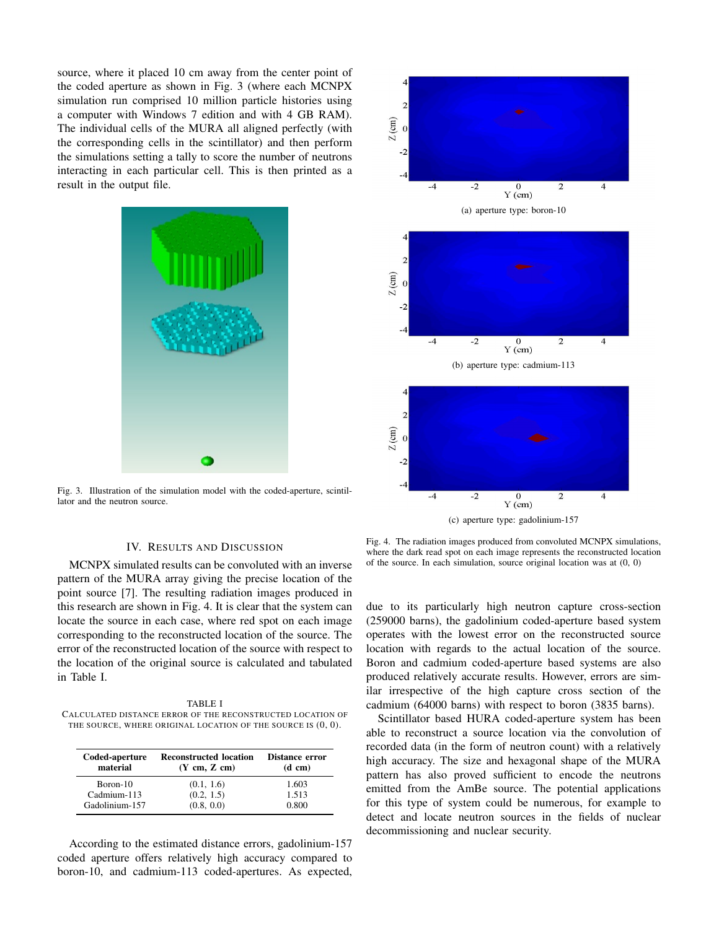source, where it placed 10 cm away from the center point of the coded aperture as shown in Fig. 3 (where each MCNPX simulation run comprised 10 million particle histories using a computer with Windows 7 edition and with 4 GB RAM). The individual cells of the MURA all aligned perfectly (with the corresponding cells in the scintillator) and then perform the simulations setting a tally to score the number of neutrons interacting in each particular cell. This is then printed as a result in the output file.



Fig. 3. Illustration of the simulation model with the coded-aperture, scintillator and the neutron source.

## $\overline{c}$  $Z$  (cm)  $\Omega$  $-2$  $-2$  $\overline{0}$  $Y$  (cm) (a) aperture type: boron-10  $\overline{c}$  $Z$  (cm)  $-2$  $Y$  (cm) (b) aperture type: cadmium-113  $\overline{c}$  $Z$  (cm) -2  $-4$  $-2$  $\overline{0}$  $\overline{\mathbf{4}}$  $Y$  (cm)

 $\overline{\mathbf{A}}$ 

(c) aperture type: gadolinium-157

### IV. RESULTS AND DISCUSSION

MCNPX simulated results can be convoluted with an inverse pattern of the MURA array giving the precise location of the point source [7]. The resulting radiation images produced in this research are shown in Fig. 4. It is clear that the system can locate the source in each case, where red spot on each image corresponding to the reconstructed location of the source. The error of the reconstructed location of the source with respect to the location of the original source is calculated and tabulated in Table I.

TABLE I CALCULATED DISTANCE ERROR OF THE RECONSTRUCTED LOCATION OF THE SOURCE, WHERE ORIGINAL LOCATION OF THE SOURCE IS  $(0, 0)$ .

| Coded-aperture<br>material | <b>Reconstructed location</b><br>$(Y \text{ cm}, Z \text{ cm})$ | Distance error<br>$(d \text{ cm})$ |
|----------------------------|-----------------------------------------------------------------|------------------------------------|
| Boron-10                   | (0.1, 1.6)                                                      | 1.603                              |
| Cadmium-113                | (0.2, 1.5)                                                      | 1.513                              |
| Gadolinium-157             | (0.8, 0.0)                                                      | 0.800                              |

According to the estimated distance errors, gadolinium-157 coded aperture offers relatively high accuracy compared to boron-10, and cadmium-113 coded-apertures. As expected,

Fig. 4. The radiation images produced from convoluted MCNPX simulations, where the dark read spot on each image represents the reconstructed location of the source. In each simulation, source original location was at (0, 0)

due to its particularly high neutron capture cross-section (259000 barns), the gadolinium coded-aperture based system operates with the lowest error on the reconstructed source location with regards to the actual location of the source. Boron and cadmium coded-aperture based systems are also produced relatively accurate results. However, errors are similar irrespective of the high capture cross section of the cadmium (64000 barns) with respect to boron (3835 barns).

Scintillator based HURA coded-aperture system has been able to reconstruct a source location via the convolution of recorded data (in the form of neutron count) with a relatively high accuracy. The size and hexagonal shape of the MURA pattern has also proved sufficient to encode the neutrons emitted from the AmBe source. The potential applications for this type of system could be numerous, for example to detect and locate neutron sources in the fields of nuclear decommissioning and nuclear security.